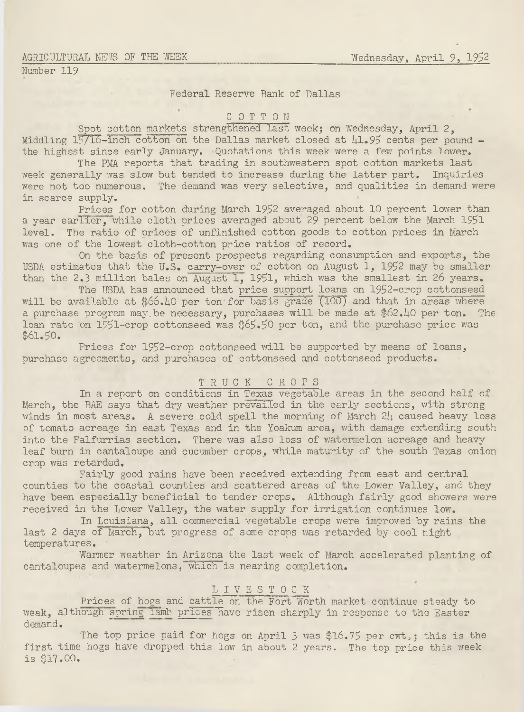### AGRICULTURAL NEWS OF THE WEEK

Number 119

# Federal Reserve Bank of Dallas

# COTTON

Spot cotton markets strengthened last week; on Wednesday, April 2, Middling  $15/16$ -inch cotton on the Dallas market closed at  $\mu$ 1.95 cents per pound the highest since early January. Quotations this week were a few points lower.

The PMA reports that trading in southwestern spot cotton markets last week generally was slow but tended to increase during the latter part. Inquiries were not too numerous. The demand was very selective, and qualities in demand were in scarce supply.

Prices for cotton during March 1952 averaged about 10 percent lower than a year earlier, while cloth prices averaged about 29 percent below the March 1951 level. The ratio of prices of unfinished cotton goods to cotton prices in March was one of the lowest cloth-cotton price ratios of record.

On the basis of present prospects regarding consumption and exports, the USDA estimates that the U.S. carry-over of cotton on August 1, 1952 may be smaller than the 2.3 million bales on August 1, 1951, which was the smallest in 26 years.

The USDA has announced that price support loans on 1952-crop cottonseed will be available at  $$66.10$  per ton for basis grade (100) and that in areas where a purchase program may be necessary, purchases will be made at \$62.40 per ton. The loan rate 'on 1951-crop cottonseed was \$65.50 per ton, and the purchase price was \$61.50.

Prices for 1952-crop cottonseed will be supported by means of loans, purchase agreements, and purchases of cottonseed and cottonseed products.

### TRUCK CROPS

In a report on conditions in Texas vegetable areas in the second half of March, the BAE says that dry weather prevailed in the early sections, with strong winds in most areas. A severe cold spell the morning of March 24 caused heavy loss of tomato acreage in east Texas and in the Yoakum area, with damage extending south into the Falfurrias section. There was also loss of watermelon acreage and heavy leaf burn in cantaloupe and cucumber crops, while maturity of the south Texas onion crop was retarded.

Fairly good rains have been received extending from east and central counties to the coastal counties and scattered areas of the Lower Valley, and they have been especially beneficial to tender crops. Although fairly good showers were received in the Lower Valley, the water supply for irrigation continues low.

In Louisiana, all commercial vegetable crops were improved by rains the last 2 days of March, but progress of some crops was retarded by cool night temperatures.

Warmer weather in Arizona the last week of March accelerated planting of cantaloupes and watermelons, which is nearing completion.

# L I V E S T O C K

Prices of hogs and cattle on the Fort Worth market continue steady to weak, although spring lamb prices have risen sharply in response to the Easter demand.

The top price paid for hogs on April 3 was \$16.75 per cwt,; this is the first time hogs have dropped this low in about 2 years. The top price this week is \$17.00.